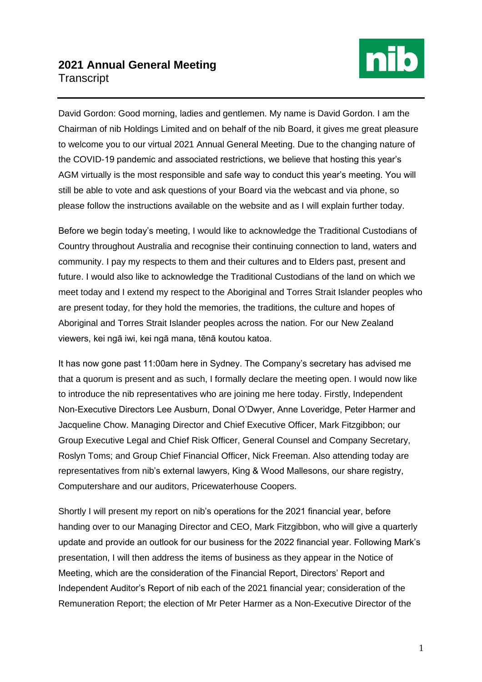## **2021 Annual General Meeting Transcript**



David Gordon: Good morning, ladies and gentlemen. My name is David Gordon. I am the Chairman of nib Holdings Limited and on behalf of the nib Board, it gives me great pleasure to welcome you to our virtual 2021 Annual General Meeting. Due to the changing nature of the COVID-19 pandemic and associated restrictions, we believe that hosting this year's AGM virtually is the most responsible and safe way to conduct this year's meeting. You will still be able to vote and ask questions of your Board via the webcast and via phone, so please follow the instructions available on the website and as I will explain further today.

Before we begin today's meeting, I would like to acknowledge the Traditional Custodians of Country throughout Australia and recognise their continuing connection to land, waters and community. I pay my respects to them and their cultures and to Elders past, present and future. I would also like to acknowledge the Traditional Custodians of the land on which we meet today and I extend my respect to the Aboriginal and Torres Strait Islander peoples who are present today, for they hold the memories, the traditions, the culture and hopes of Aboriginal and Torres Strait Islander peoples across the nation. For our New Zealand viewers, kei ngā iwi, kei ngā mana, tēnā koutou katoa.

It has now gone past 11:00am here in Sydney. The Company's secretary has advised me that a quorum is present and as such, I formally declare the meeting open. I would now like to introduce the nib representatives who are joining me here today. Firstly, Independent Non-Executive Directors Lee Ausburn, Donal O'Dwyer, Anne Loveridge, Peter Harmer and Jacqueline Chow. Managing Director and Chief Executive Officer, Mark Fitzgibbon; our Group Executive Legal and Chief Risk Officer, General Counsel and Company Secretary, Roslyn Toms; and Group Chief Financial Officer, Nick Freeman. Also attending today are representatives from nib's external lawyers, King & Wood Mallesons, our share registry, Computershare and our auditors, Pricewaterhouse Coopers.

Shortly I will present my report on nib's operations for the 2021 financial year, before handing over to our Managing Director and CEO, Mark Fitzgibbon, who will give a quarterly update and provide an outlook for our business for the 2022 financial year. Following Mark's presentation, I will then address the items of business as they appear in the Notice of Meeting, which are the consideration of the Financial Report, Directors' Report and Independent Auditor's Report of nib each of the 2021 financial year; consideration of the Remuneration Report; the election of Mr Peter Harmer as a Non-Executive Director of the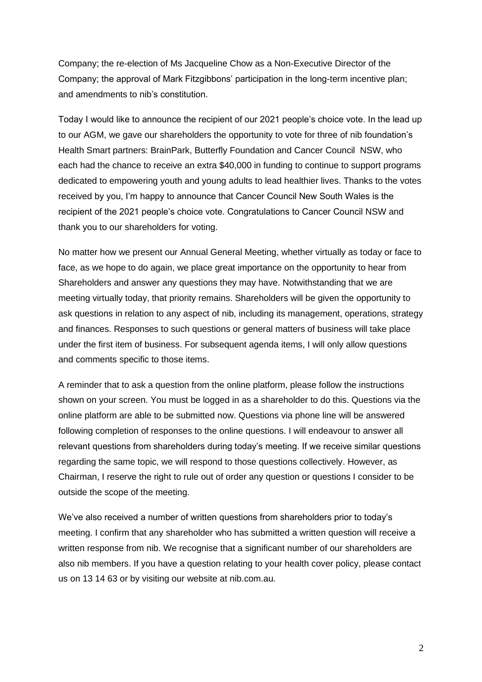Company; the re-election of Ms Jacqueline Chow as a Non-Executive Director of the Company; the approval of Mark Fitzgibbons' participation in the long-term incentive plan; and amendments to nib's constitution.

Today I would like to announce the recipient of our 2021 people's choice vote. In the lead up to our AGM, we gave our shareholders the opportunity to vote for three of nib foundation's Health Smart partners: BrainPark, Butterfly Foundation and Cancer Council NSW, who each had the chance to receive an extra \$40,000 in funding to continue to support programs dedicated to empowering youth and young adults to lead healthier lives. Thanks to the votes received by you, I'm happy to announce that Cancer Council New South Wales is the recipient of the 2021 people's choice vote. Congratulations to Cancer Council NSW and thank you to our shareholders for voting.

No matter how we present our Annual General Meeting, whether virtually as today or face to face, as we hope to do again, we place great importance on the opportunity to hear from Shareholders and answer any questions they may have. Notwithstanding that we are meeting virtually today, that priority remains. Shareholders will be given the opportunity to ask questions in relation to any aspect of nib, including its management, operations, strategy and finances. Responses to such questions or general matters of business will take place under the first item of business. For subsequent agenda items, I will only allow questions and comments specific to those items.

A reminder that to ask a question from the online platform, please follow the instructions shown on your screen. You must be logged in as a shareholder to do this. Questions via the online platform are able to be submitted now. Questions via phone line will be answered following completion of responses to the online questions. I will endeavour to answer all relevant questions from shareholders during today's meeting. If we receive similar questions regarding the same topic, we will respond to those questions collectively. However, as Chairman, I reserve the right to rule out of order any question or questions I consider to be outside the scope of the meeting.

We've also received a number of written questions from shareholders prior to today's meeting. I confirm that any shareholder who has submitted a written question will receive a written response from nib. We recognise that a significant number of our shareholders are also nib members. If you have a question relating to your health cover policy, please contact us on 13 14 63 or by visiting our website at nib.com.au.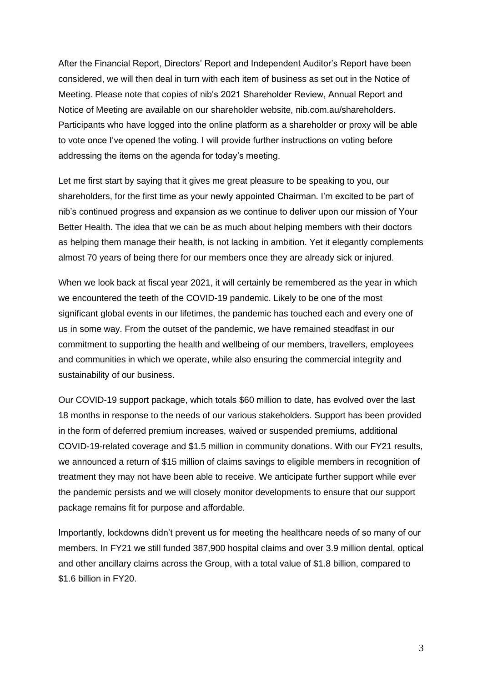After the Financial Report, Directors' Report and Independent Auditor's Report have been considered, we will then deal in turn with each item of business as set out in the Notice of Meeting. Please note that copies of nib's 2021 Shareholder Review, Annual Report and Notice of Meeting are available on our shareholder website, nib.com.au/shareholders. Participants who have logged into the online platform as a shareholder or proxy will be able to vote once I've opened the voting. I will provide further instructions on voting before addressing the items on the agenda for today's meeting.

Let me first start by saying that it gives me great pleasure to be speaking to you, our shareholders, for the first time as your newly appointed Chairman. I'm excited to be part of nib's continued progress and expansion as we continue to deliver upon our mission of Your Better Health. The idea that we can be as much about helping members with their doctors as helping them manage their health, is not lacking in ambition. Yet it elegantly complements almost 70 years of being there for our members once they are already sick or injured.

When we look back at fiscal year 2021, it will certainly be remembered as the year in which we encountered the teeth of the COVID-19 pandemic. Likely to be one of the most significant global events in our lifetimes, the pandemic has touched each and every one of us in some way. From the outset of the pandemic, we have remained steadfast in our commitment to supporting the health and wellbeing of our members, travellers, employees and communities in which we operate, while also ensuring the commercial integrity and sustainability of our business.

Our COVID-19 support package, which totals \$60 million to date, has evolved over the last 18 months in response to the needs of our various stakeholders. Support has been provided in the form of deferred premium increases, waived or suspended premiums, additional COVID-19-related coverage and \$1.5 million in community donations. With our FY21 results, we announced a return of \$15 million of claims savings to eligible members in recognition of treatment they may not have been able to receive. We anticipate further support while ever the pandemic persists and we will closely monitor developments to ensure that our support package remains fit for purpose and affordable.

Importantly, lockdowns didn't prevent us for meeting the healthcare needs of so many of our members. In FY21 we still funded 387,900 hospital claims and over 3.9 million dental, optical and other ancillary claims across the Group, with a total value of \$1.8 billion, compared to \$1.6 billion in FY20.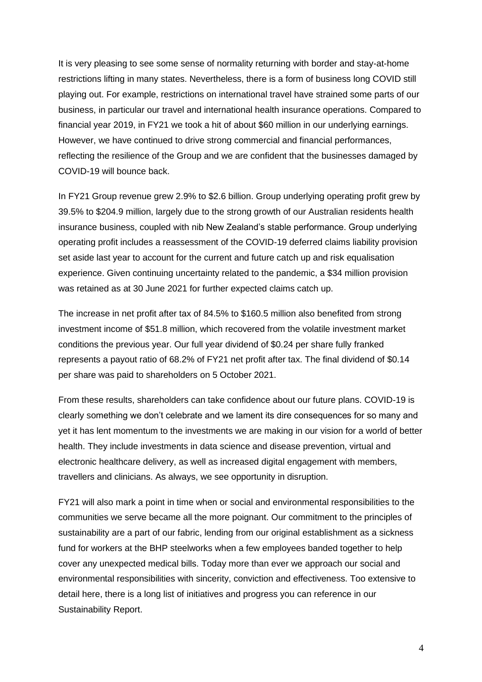It is very pleasing to see some sense of normality returning with border and stay-at-home restrictions lifting in many states. Nevertheless, there is a form of business long COVID still playing out. For example, restrictions on international travel have strained some parts of our business, in particular our travel and international health insurance operations. Compared to financial year 2019, in FY21 we took a hit of about \$60 million in our underlying earnings. However, we have continued to drive strong commercial and financial performances, reflecting the resilience of the Group and we are confident that the businesses damaged by COVID-19 will bounce back.

In FY21 Group revenue grew 2.9% to \$2.6 billion. Group underlying operating profit grew by 39.5% to \$204.9 million, largely due to the strong growth of our Australian residents health insurance business, coupled with nib New Zealand's stable performance. Group underlying operating profit includes a reassessment of the COVID-19 deferred claims liability provision set aside last year to account for the current and future catch up and risk equalisation experience. Given continuing uncertainty related to the pandemic, a \$34 million provision was retained as at 30 June 2021 for further expected claims catch up.

The increase in net profit after tax of 84.5% to \$160.5 million also benefited from strong investment income of \$51.8 million, which recovered from the volatile investment market conditions the previous year. Our full year dividend of \$0.24 per share fully franked represents a payout ratio of 68.2% of FY21 net profit after tax. The final dividend of \$0.14 per share was paid to shareholders on 5 October 2021.

From these results, shareholders can take confidence about our future plans. COVID-19 is clearly something we don't celebrate and we lament its dire consequences for so many and yet it has lent momentum to the investments we are making in our vision for a world of better health. They include investments in data science and disease prevention, virtual and electronic healthcare delivery, as well as increased digital engagement with members, travellers and clinicians. As always, we see opportunity in disruption.

FY21 will also mark a point in time when or social and environmental responsibilities to the communities we serve became all the more poignant. Our commitment to the principles of sustainability are a part of our fabric, lending from our original establishment as a sickness fund for workers at the BHP steelworks when a few employees banded together to help cover any unexpected medical bills. Today more than ever we approach our social and environmental responsibilities with sincerity, conviction and effectiveness. Too extensive to detail here, there is a long list of initiatives and progress you can reference in our Sustainability Report.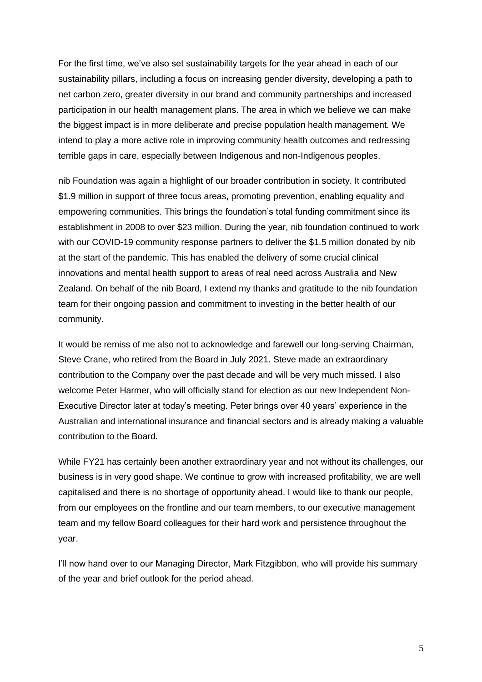For the first time, we've also set sustainability targets for the year ahead in each of our sustainability pillars, including a focus on increasing gender diversity, developing a path to net carbon zero, greater diversity in our brand and community partnerships and increased participation in our health management plans. The area in which we believe we can make the biggest impact is in more deliberate and precise population health management. We intend to play a more active role in improving community health outcomes and redressing terrible gaps in care, especially between Indigenous and non-Indigenous peoples.

nib Foundation was again a highlight of our broader contribution in society. It contributed \$1.9 million in support of three focus areas, promoting prevention, enabling equality and empowering communities. This brings the foundation's total funding commitment since its establishment in 2008 to over \$23 million. During the year, nib foundation continued to work with our COVID-19 community response partners to deliver the \$1.5 million donated by nib at the start of the pandemic. This has enabled the delivery of some crucial clinical innovations and mental health support to areas of real need across Australia and New Zealand. On behalf of the nib Board, I extend my thanks and gratitude to the nib foundation team for their ongoing passion and commitment to investing in the better health of our community.

It would be remiss of me also not to acknowledge and farewell our long-serving Chairman, Steve Crane, who retired from the Board in July 2021. Steve made an extraordinary contribution to the Company over the past decade and will be very much missed. I also welcome Peter Harmer, who will officially stand for election as our new Independent Non-Executive Director later at today's meeting. Peter brings over 40 years' experience in the Australian and international insurance and financial sectors and is already making a valuable contribution to the Board.

While FY21 has certainly been another extraordinary year and not without its challenges, our business is in very good shape. We continue to grow with increased profitability, we are well capitalised and there is no shortage of opportunity ahead. I would like to thank our people, from our employees on the frontline and our team members, to our executive management team and my fellow Board colleagues for their hard work and persistence throughout the year.

I'll now hand over to our Managing Director, Mark Fitzgibbon, who will provide his summary of the year and brief outlook for the period ahead.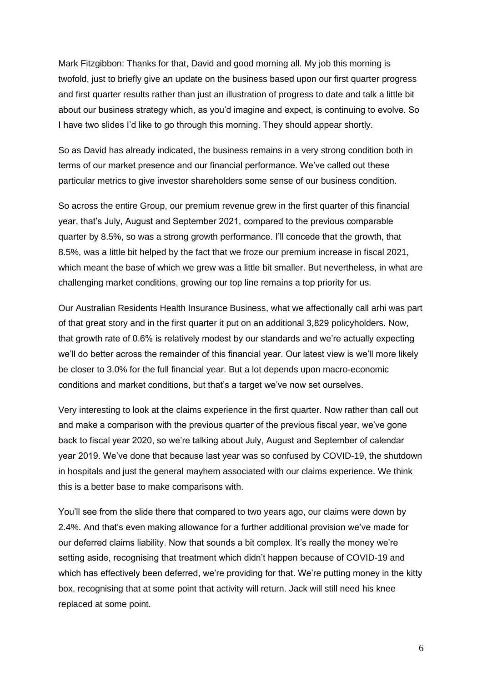Mark Fitzgibbon: Thanks for that, David and good morning all. My job this morning is twofold, just to briefly give an update on the business based upon our first quarter progress and first quarter results rather than just an illustration of progress to date and talk a little bit about our business strategy which, as you'd imagine and expect, is continuing to evolve. So I have two slides I'd like to go through this morning. They should appear shortly.

So as David has already indicated, the business remains in a very strong condition both in terms of our market presence and our financial performance. We've called out these particular metrics to give investor shareholders some sense of our business condition.

So across the entire Group, our premium revenue grew in the first quarter of this financial year, that's July, August and September 2021, compared to the previous comparable quarter by 8.5%, so was a strong growth performance. I'll concede that the growth, that 8.5%, was a little bit helped by the fact that we froze our premium increase in fiscal 2021, which meant the base of which we grew was a little bit smaller. But nevertheless, in what are challenging market conditions, growing our top line remains a top priority for us.

Our Australian Residents Health Insurance Business, what we affectionally call arhi was part of that great story and in the first quarter it put on an additional 3,829 policyholders. Now, that growth rate of 0.6% is relatively modest by our standards and we're actually expecting we'll do better across the remainder of this financial year. Our latest view is we'll more likely be closer to 3.0% for the full financial year. But a lot depends upon macro-economic conditions and market conditions, but that's a target we've now set ourselves.

Very interesting to look at the claims experience in the first quarter. Now rather than call out and make a comparison with the previous quarter of the previous fiscal year, we've gone back to fiscal year 2020, so we're talking about July, August and September of calendar year 2019. We've done that because last year was so confused by COVID-19, the shutdown in hospitals and just the general mayhem associated with our claims experience. We think this is a better base to make comparisons with.

You'll see from the slide there that compared to two years ago, our claims were down by 2.4%. And that's even making allowance for a further additional provision we've made for our deferred claims liability. Now that sounds a bit complex. It's really the money we're setting aside, recognising that treatment which didn't happen because of COVID-19 and which has effectively been deferred, we're providing for that. We're putting money in the kitty box, recognising that at some point that activity will return. Jack will still need his knee replaced at some point.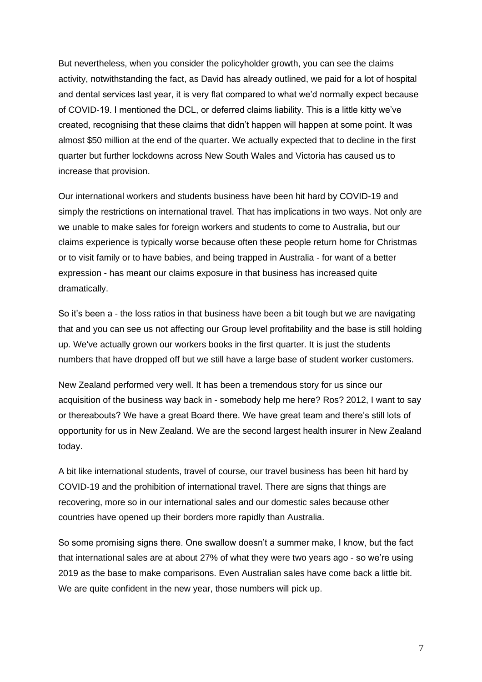But nevertheless, when you consider the policyholder growth, you can see the claims activity, notwithstanding the fact, as David has already outlined, we paid for a lot of hospital and dental services last year, it is very flat compared to what we'd normally expect because of COVID-19. I mentioned the DCL, or deferred claims liability. This is a little kitty we've created, recognising that these claims that didn't happen will happen at some point. It was almost \$50 million at the end of the quarter. We actually expected that to decline in the first quarter but further lockdowns across New South Wales and Victoria has caused us to increase that provision.

Our international workers and students business have been hit hard by COVID-19 and simply the restrictions on international travel. That has implications in two ways. Not only are we unable to make sales for foreign workers and students to come to Australia, but our claims experience is typically worse because often these people return home for Christmas or to visit family or to have babies, and being trapped in Australia - for want of a better expression - has meant our claims exposure in that business has increased quite dramatically.

So it's been a - the loss ratios in that business have been a bit tough but we are navigating that and you can see us not affecting our Group level profitability and the base is still holding up. We've actually grown our workers books in the first quarter. It is just the students numbers that have dropped off but we still have a large base of student worker customers.

New Zealand performed very well. It has been a tremendous story for us since our acquisition of the business way back in - somebody help me here? Ros? 2012, I want to say or thereabouts? We have a great Board there. We have great team and there's still lots of opportunity for us in New Zealand. We are the second largest health insurer in New Zealand today.

A bit like international students, travel of course, our travel business has been hit hard by COVID-19 and the prohibition of international travel. There are signs that things are recovering, more so in our international sales and our domestic sales because other countries have opened up their borders more rapidly than Australia.

So some promising signs there. One swallow doesn't a summer make, I know, but the fact that international sales are at about 27% of what they were two years ago - so we're using 2019 as the base to make comparisons. Even Australian sales have come back a little bit. We are quite confident in the new year, those numbers will pick up.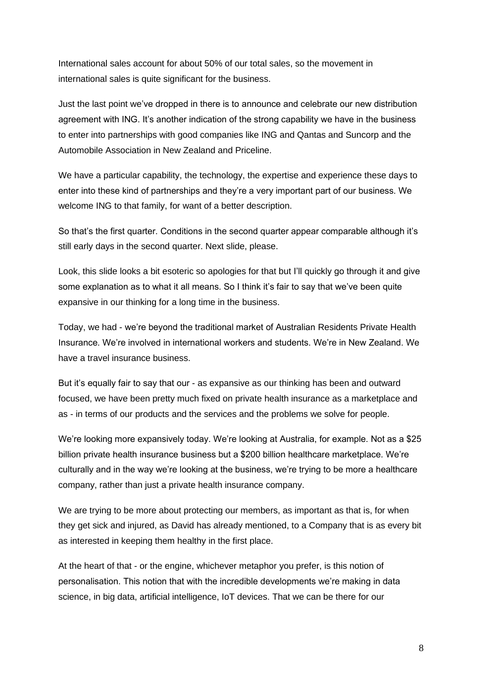International sales account for about 50% of our total sales, so the movement in international sales is quite significant for the business.

Just the last point we've dropped in there is to announce and celebrate our new distribution agreement with ING. It's another indication of the strong capability we have in the business to enter into partnerships with good companies like ING and Qantas and Suncorp and the Automobile Association in New Zealand and Priceline.

We have a particular capability, the technology, the expertise and experience these days to enter into these kind of partnerships and they're a very important part of our business. We welcome ING to that family, for want of a better description.

So that's the first quarter. Conditions in the second quarter appear comparable although it's still early days in the second quarter. Next slide, please.

Look, this slide looks a bit esoteric so apologies for that but I'll quickly go through it and give some explanation as to what it all means. So I think it's fair to say that we've been quite expansive in our thinking for a long time in the business.

Today, we had - we're beyond the traditional market of Australian Residents Private Health Insurance. We're involved in international workers and students. We're in New Zealand. We have a travel insurance business.

But it's equally fair to say that our - as expansive as our thinking has been and outward focused, we have been pretty much fixed on private health insurance as a marketplace and as - in terms of our products and the services and the problems we solve for people.

We're looking more expansively today. We're looking at Australia, for example. Not as a \$25 billion private health insurance business but a \$200 billion healthcare marketplace. We're culturally and in the way we're looking at the business, we're trying to be more a healthcare company, rather than just a private health insurance company.

We are trying to be more about protecting our members, as important as that is, for when they get sick and injured, as David has already mentioned, to a Company that is as every bit as interested in keeping them healthy in the first place.

At the heart of that - or the engine, whichever metaphor you prefer, is this notion of personalisation. This notion that with the incredible developments we're making in data science, in big data, artificial intelligence, IoT devices. That we can be there for our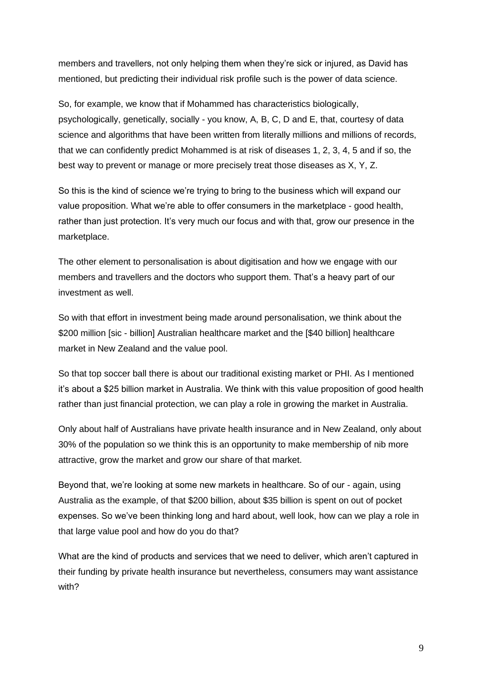members and travellers, not only helping them when they're sick or injured, as David has mentioned, but predicting their individual risk profile such is the power of data science.

So, for example, we know that if Mohammed has characteristics biologically, psychologically, genetically, socially - you know, A, B, C, D and E, that, courtesy of data science and algorithms that have been written from literally millions and millions of records, that we can confidently predict Mohammed is at risk of diseases 1, 2, 3, 4, 5 and if so, the best way to prevent or manage or more precisely treat those diseases as X, Y, Z.

So this is the kind of science we're trying to bring to the business which will expand our value proposition. What we're able to offer consumers in the marketplace - good health, rather than just protection. It's very much our focus and with that, grow our presence in the marketplace.

The other element to personalisation is about digitisation and how we engage with our members and travellers and the doctors who support them. That's a heavy part of our investment as well.

So with that effort in investment being made around personalisation, we think about the \$200 million [sic - billion] Australian healthcare market and the [\$40 billion] healthcare market in New Zealand and the value pool.

So that top soccer ball there is about our traditional existing market or PHI. As I mentioned it's about a \$25 billion market in Australia. We think with this value proposition of good health rather than just financial protection, we can play a role in growing the market in Australia.

Only about half of Australians have private health insurance and in New Zealand, only about 30% of the population so we think this is an opportunity to make membership of nib more attractive, grow the market and grow our share of that market.

Beyond that, we're looking at some new markets in healthcare. So of our - again, using Australia as the example, of that \$200 billion, about \$35 billion is spent on out of pocket expenses. So we've been thinking long and hard about, well look, how can we play a role in that large value pool and how do you do that?

What are the kind of products and services that we need to deliver, which aren't captured in their funding by private health insurance but nevertheless, consumers may want assistance with?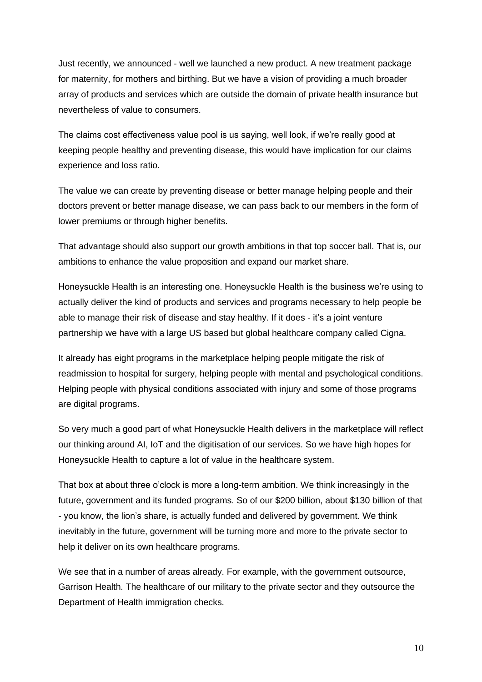Just recently, we announced - well we launched a new product. A new treatment package for maternity, for mothers and birthing. But we have a vision of providing a much broader array of products and services which are outside the domain of private health insurance but nevertheless of value to consumers.

The claims cost effectiveness value pool is us saying, well look, if we're really good at keeping people healthy and preventing disease, this would have implication for our claims experience and loss ratio.

The value we can create by preventing disease or better manage helping people and their doctors prevent or better manage disease, we can pass back to our members in the form of lower premiums or through higher benefits.

That advantage should also support our growth ambitions in that top soccer ball. That is, our ambitions to enhance the value proposition and expand our market share.

Honeysuckle Health is an interesting one. Honeysuckle Health is the business we're using to actually deliver the kind of products and services and programs necessary to help people be able to manage their risk of disease and stay healthy. If it does - it's a joint venture partnership we have with a large US based but global healthcare company called Cigna.

It already has eight programs in the marketplace helping people mitigate the risk of readmission to hospital for surgery, helping people with mental and psychological conditions. Helping people with physical conditions associated with injury and some of those programs are digital programs.

So very much a good part of what Honeysuckle Health delivers in the marketplace will reflect our thinking around AI, IoT and the digitisation of our services. So we have high hopes for Honeysuckle Health to capture a lot of value in the healthcare system.

That box at about three o'clock is more a long-term ambition. We think increasingly in the future, government and its funded programs. So of our \$200 billion, about \$130 billion of that - you know, the lion's share, is actually funded and delivered by government. We think inevitably in the future, government will be turning more and more to the private sector to help it deliver on its own healthcare programs.

We see that in a number of areas already. For example, with the government outsource, Garrison Health. The healthcare of our military to the private sector and they outsource the Department of Health immigration checks.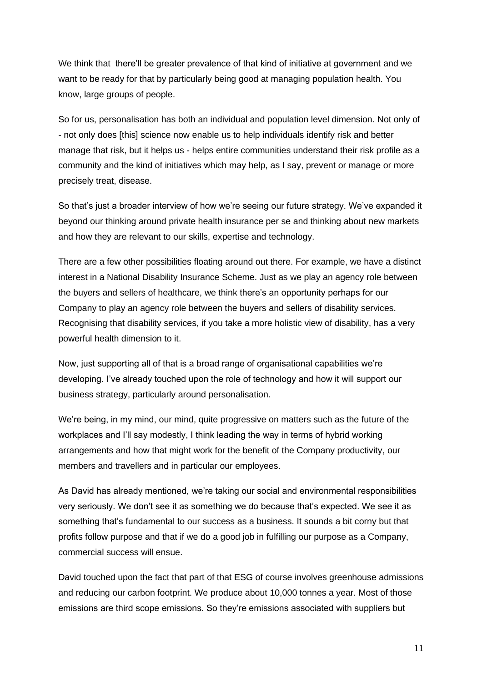We think that there'll be greater prevalence of that kind of initiative at government and we want to be ready for that by particularly being good at managing population health. You know, large groups of people.

So for us, personalisation has both an individual and population level dimension. Not only of - not only does [this] science now enable us to help individuals identify risk and better manage that risk, but it helps us - helps entire communities understand their risk profile as a community and the kind of initiatives which may help, as I say, prevent or manage or more precisely treat, disease.

So that's just a broader interview of how we're seeing our future strategy. We've expanded it beyond our thinking around private health insurance per se and thinking about new markets and how they are relevant to our skills, expertise and technology.

There are a few other possibilities floating around out there. For example, we have a distinct interest in a National Disability Insurance Scheme. Just as we play an agency role between the buyers and sellers of healthcare, we think there's an opportunity perhaps for our Company to play an agency role between the buyers and sellers of disability services. Recognising that disability services, if you take a more holistic view of disability, has a very powerful health dimension to it.

Now, just supporting all of that is a broad range of organisational capabilities we're developing. I've already touched upon the role of technology and how it will support our business strategy, particularly around personalisation.

We're being, in my mind, our mind, quite progressive on matters such as the future of the workplaces and I'll say modestly, I think leading the way in terms of hybrid working arrangements and how that might work for the benefit of the Company productivity, our members and travellers and in particular our employees.

As David has already mentioned, we're taking our social and environmental responsibilities very seriously. We don't see it as something we do because that's expected. We see it as something that's fundamental to our success as a business. It sounds a bit corny but that profits follow purpose and that if we do a good job in fulfilling our purpose as a Company, commercial success will ensue.

David touched upon the fact that part of that ESG of course involves greenhouse admissions and reducing our carbon footprint. We produce about 10,000 tonnes a year. Most of those emissions are third scope emissions. So they're emissions associated with suppliers but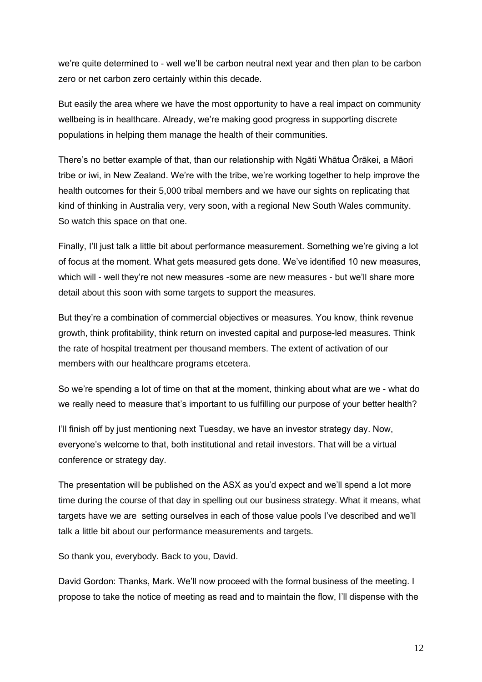we're quite determined to - well we'll be carbon neutral next year and then plan to be carbon zero or net carbon zero certainly within this decade.

But easily the area where we have the most opportunity to have a real impact on community wellbeing is in healthcare. Already, we're making good progress in supporting discrete populations in helping them manage the health of their communities.

There's no better example of that, than our relationship with Ngāti Whātua Ōrākei, a Māori tribe or iwi, in New Zealand. We're with the tribe, we're working together to help improve the health outcomes for their 5,000 tribal members and we have our sights on replicating that kind of thinking in Australia very, very soon, with a regional New South Wales community. So watch this space on that one.

Finally, I'll just talk a little bit about performance measurement. Something we're giving a lot of focus at the moment. What gets measured gets done. We've identified 10 new measures, which will - well they're not new measures -some are new measures - but we'll share more detail about this soon with some targets to support the measures.

But they're a combination of commercial objectives or measures. You know, think revenue growth, think profitability, think return on invested capital and purpose-led measures. Think the rate of hospital treatment per thousand members. The extent of activation of our members with our healthcare programs etcetera.

So we're spending a lot of time on that at the moment, thinking about what are we - what do we really need to measure that's important to us fulfilling our purpose of your better health?

I'll finish off by just mentioning next Tuesday, we have an investor strategy day. Now, everyone's welcome to that, both institutional and retail investors. That will be a virtual conference or strategy day.

The presentation will be published on the ASX as you'd expect and we'll spend a lot more time during the course of that day in spelling out our business strategy. What it means, what targets have we are setting ourselves in each of those value pools I've described and we'll talk a little bit about our performance measurements and targets.

So thank you, everybody. Back to you, David.

David Gordon: Thanks, Mark. We'll now proceed with the formal business of the meeting. I propose to take the notice of meeting as read and to maintain the flow, I'll dispense with the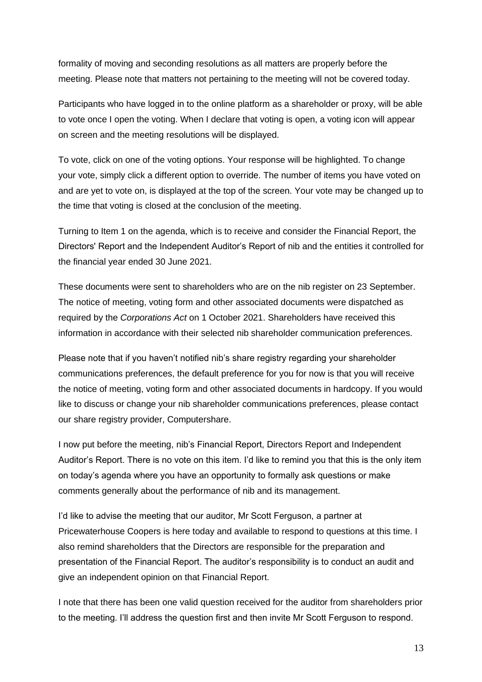formality of moving and seconding resolutions as all matters are properly before the meeting. Please note that matters not pertaining to the meeting will not be covered today.

Participants who have logged in to the online platform as a shareholder or proxy, will be able to vote once I open the voting. When I declare that voting is open, a voting icon will appear on screen and the meeting resolutions will be displayed.

To vote, click on one of the voting options. Your response will be highlighted. To change your vote, simply click a different option to override. The number of items you have voted on and are yet to vote on, is displayed at the top of the screen. Your vote may be changed up to the time that voting is closed at the conclusion of the meeting.

Turning to Item 1 on the agenda, which is to receive and consider the Financial Report, the Directors' Report and the Independent Auditor's Report of nib and the entities it controlled for the financial year ended 30 June 2021.

These documents were sent to shareholders who are on the nib register on 23 September. The notice of meeting, voting form and other associated documents were dispatched as required by the *Corporations Act* on 1 October 2021. Shareholders have received this information in accordance with their selected nib shareholder communication preferences.

Please note that if you haven't notified nib's share registry regarding your shareholder communications preferences, the default preference for you for now is that you will receive the notice of meeting, voting form and other associated documents in hardcopy. If you would like to discuss or change your nib shareholder communications preferences, please contact our share registry provider, Computershare.

I now put before the meeting, nib's Financial Report, Directors Report and Independent Auditor's Report. There is no vote on this item. I'd like to remind you that this is the only item on today's agenda where you have an opportunity to formally ask questions or make comments generally about the performance of nib and its management.

I'd like to advise the meeting that our auditor, Mr Scott Ferguson, a partner at Pricewaterhouse Coopers is here today and available to respond to questions at this time. I also remind shareholders that the Directors are responsible for the preparation and presentation of the Financial Report. The auditor's responsibility is to conduct an audit and give an independent opinion on that Financial Report.

I note that there has been one valid question received for the auditor from shareholders prior to the meeting. I'll address the question first and then invite Mr Scott Ferguson to respond.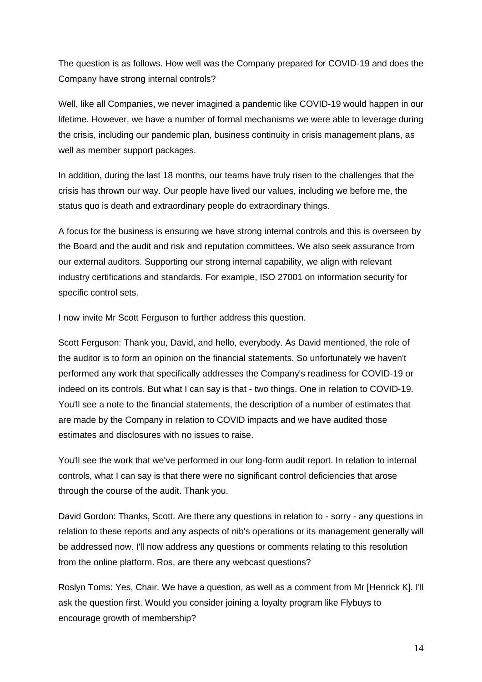The question is as follows. How well was the Company prepared for COVID-19 and does the Company have strong internal controls?

Well, like all Companies, we never imagined a pandemic like COVID-19 would happen in our lifetime. However, we have a number of formal mechanisms we were able to leverage during the crisis, including our pandemic plan, business continuity in crisis management plans, as well as member support packages.

In addition, during the last 18 months, our teams have truly risen to the challenges that the crisis has thrown our way. Our people have lived our values, including we before me, the status quo is death and extraordinary people do extraordinary things.

A focus for the business is ensuring we have strong internal controls and this is overseen by the Board and the audit and risk and reputation committees. We also seek assurance from our external auditors. Supporting our strong internal capability, we align with relevant industry certifications and standards. For example, ISO 27001 on information security for specific control sets.

I now invite Mr Scott Ferguson to further address this question.

Scott Ferguson: Thank you, David, and hello, everybody. As David mentioned, the role of the auditor is to form an opinion on the financial statements. So unfortunately we haven't performed any work that specifically addresses the Company's readiness for COVID-19 or indeed on its controls. But what I can say is that - two things. One in relation to COVID-19. You'll see a note to the financial statements, the description of a number of estimates that are made by the Company in relation to COVID impacts and we have audited those estimates and disclosures with no issues to raise.

You'll see the work that we've performed in our long-form audit report. In relation to internal controls, what I can say is that there were no significant control deficiencies that arose through the course of the audit. Thank you.

David Gordon: Thanks, Scott. Are there any questions in relation to - sorry - any questions in relation to these reports and any aspects of nib's operations or its management generally will be addressed now. I'll now address any questions or comments relating to this resolution from the online platform. Ros, are there any webcast questions?

Roslyn Toms: Yes, Chair. We have a question, as well as a comment from Mr [Henrick K]. I'll ask the question first. Would you consider joining a loyalty program like Flybuys to encourage growth of membership?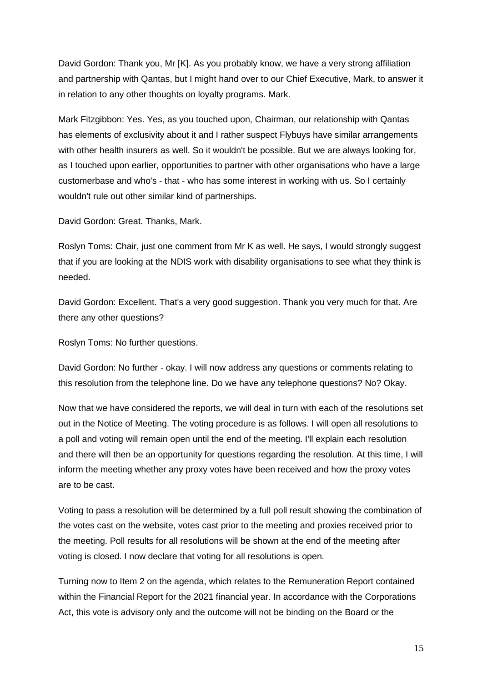David Gordon: Thank you, Mr [K]. As you probably know, we have a very strong affiliation and partnership with Qantas, but I might hand over to our Chief Executive, Mark, to answer it in relation to any other thoughts on loyalty programs. Mark.

Mark Fitzgibbon: Yes. Yes, as you touched upon, Chairman, our relationship with Qantas has elements of exclusivity about it and I rather suspect Flybuys have similar arrangements with other health insurers as well. So it wouldn't be possible. But we are always looking for, as I touched upon earlier, opportunities to partner with other organisations who have a large customerbase and who's - that - who has some interest in working with us. So I certainly wouldn't rule out other similar kind of partnerships.

David Gordon: Great. Thanks, Mark.

Roslyn Toms: Chair, just one comment from Mr K as well. He says, I would strongly suggest that if you are looking at the NDIS work with disability organisations to see what they think is needed.

David Gordon: Excellent. That's a very good suggestion. Thank you very much for that. Are there any other questions?

Roslyn Toms: No further questions.

David Gordon: No further - okay. I will now address any questions or comments relating to this resolution from the telephone line. Do we have any telephone questions? No? Okay.

Now that we have considered the reports, we will deal in turn with each of the resolutions set out in the Notice of Meeting. The voting procedure is as follows. I will open all resolutions to a poll and voting will remain open until the end of the meeting. I'll explain each resolution and there will then be an opportunity for questions regarding the resolution. At this time, I will inform the meeting whether any proxy votes have been received and how the proxy votes are to be cast.

Voting to pass a resolution will be determined by a full poll result showing the combination of the votes cast on the website, votes cast prior to the meeting and proxies received prior to the meeting. Poll results for all resolutions will be shown at the end of the meeting after voting is closed. I now declare that voting for all resolutions is open.

Turning now to Item 2 on the agenda, which relates to the Remuneration Report contained within the Financial Report for the 2021 financial year. In accordance with the Corporations Act, this vote is advisory only and the outcome will not be binding on the Board or the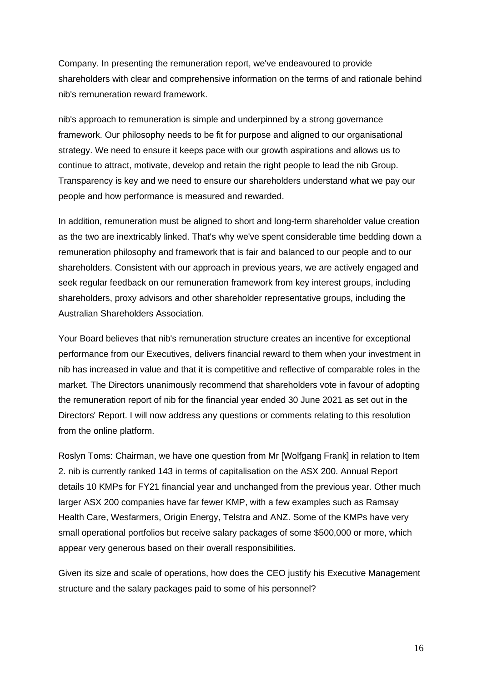Company. In presenting the remuneration report, we've endeavoured to provide shareholders with clear and comprehensive information on the terms of and rationale behind nib's remuneration reward framework.

nib's approach to remuneration is simple and underpinned by a strong governance framework. Our philosophy needs to be fit for purpose and aligned to our organisational strategy. We need to ensure it keeps pace with our growth aspirations and allows us to continue to attract, motivate, develop and retain the right people to lead the nib Group. Transparency is key and we need to ensure our shareholders understand what we pay our people and how performance is measured and rewarded.

In addition, remuneration must be aligned to short and long-term shareholder value creation as the two are inextricably linked. That's why we've spent considerable time bedding down a remuneration philosophy and framework that is fair and balanced to our people and to our shareholders. Consistent with our approach in previous years, we are actively engaged and seek regular feedback on our remuneration framework from key interest groups, including shareholders, proxy advisors and other shareholder representative groups, including the Australian Shareholders Association.

Your Board believes that nib's remuneration structure creates an incentive for exceptional performance from our Executives, delivers financial reward to them when your investment in nib has increased in value and that it is competitive and reflective of comparable roles in the market. The Directors unanimously recommend that shareholders vote in favour of adopting the remuneration report of nib for the financial year ended 30 June 2021 as set out in the Directors' Report. I will now address any questions or comments relating to this resolution from the online platform.

Roslyn Toms: Chairman, we have one question from Mr [Wolfgang Frank] in relation to Item 2. nib is currently ranked 143 in terms of capitalisation on the ASX 200. Annual Report details 10 KMPs for FY21 financial year and unchanged from the previous year. Other much larger ASX 200 companies have far fewer KMP, with a few examples such as Ramsay Health Care, Wesfarmers, Origin Energy, Telstra and ANZ. Some of the KMPs have very small operational portfolios but receive salary packages of some \$500,000 or more, which appear very generous based on their overall responsibilities.

Given its size and scale of operations, how does the CEO justify his Executive Management structure and the salary packages paid to some of his personnel?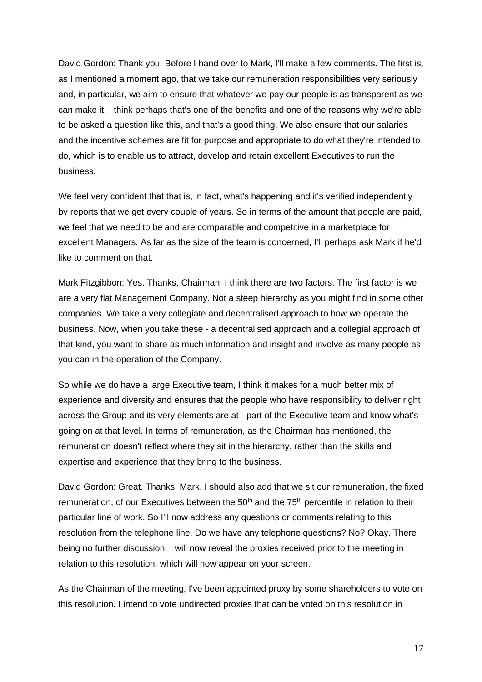David Gordon: Thank you. Before I hand over to Mark, I'll make a few comments. The first is, as I mentioned a moment ago, that we take our remuneration responsibilities very seriously and, in particular, we aim to ensure that whatever we pay our people is as transparent as we can make it. I think perhaps that's one of the benefits and one of the reasons why we're able to be asked a question like this, and that's a good thing. We also ensure that our salaries and the incentive schemes are fit for purpose and appropriate to do what they're intended to do, which is to enable us to attract, develop and retain excellent Executives to run the business.

We feel very confident that that is, in fact, what's happening and it's verified independently by reports that we get every couple of years. So in terms of the amount that people are paid, we feel that we need to be and are comparable and competitive in a marketplace for excellent Managers. As far as the size of the team is concerned, I'll perhaps ask Mark if he'd like to comment on that.

Mark Fitzgibbon: Yes. Thanks, Chairman. I think there are two factors. The first factor is we are a very flat Management Company. Not a steep hierarchy as you might find in some other companies. We take a very collegiate and decentralised approach to how we operate the business. Now, when you take these - a decentralised approach and a collegial approach of that kind, you want to share as much information and insight and involve as many people as you can in the operation of the Company.

So while we do have a large Executive team, I think it makes for a much better mix of experience and diversity and ensures that the people who have responsibility to deliver right across the Group and its very elements are at - part of the Executive team and know what's going on at that level. In terms of remuneration, as the Chairman has mentioned, the remuneration doesn't reflect where they sit in the hierarchy, rather than the skills and expertise and experience that they bring to the business.

David Gordon: Great. Thanks, Mark. I should also add that we sit our remuneration, the fixed remuneration, of our Executives between the 50<sup>th</sup> and the 75<sup>th</sup> percentile in relation to their particular line of work. So I'll now address any questions or comments relating to this resolution from the telephone line. Do we have any telephone questions? No? Okay. There being no further discussion, I will now reveal the proxies received prior to the meeting in relation to this resolution, which will now appear on your screen.

As the Chairman of the meeting, I've been appointed proxy by some shareholders to vote on this resolution. I intend to vote undirected proxies that can be voted on this resolution in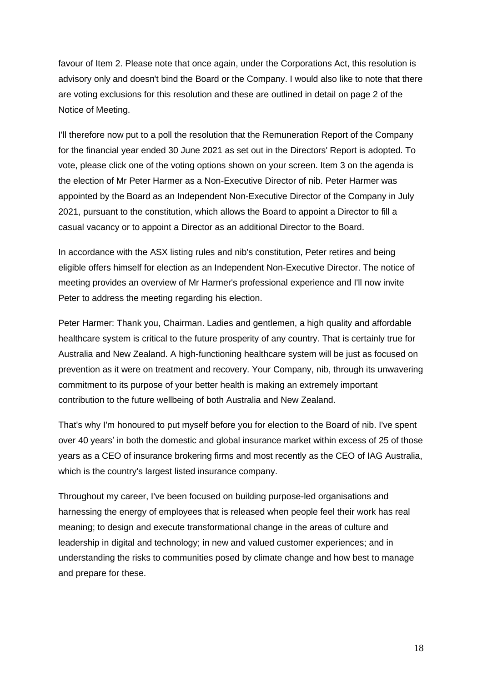favour of Item 2. Please note that once again, under the Corporations Act, this resolution is advisory only and doesn't bind the Board or the Company. I would also like to note that there are voting exclusions for this resolution and these are outlined in detail on page 2 of the Notice of Meeting.

I'll therefore now put to a poll the resolution that the Remuneration Report of the Company for the financial year ended 30 June 2021 as set out in the Directors' Report is adopted. To vote, please click one of the voting options shown on your screen. Item 3 on the agenda is the election of Mr Peter Harmer as a Non-Executive Director of nib. Peter Harmer was appointed by the Board as an Independent Non-Executive Director of the Company in July 2021, pursuant to the constitution, which allows the Board to appoint a Director to fill a casual vacancy or to appoint a Director as an additional Director to the Board.

In accordance with the ASX listing rules and nib's constitution, Peter retires and being eligible offers himself for election as an Independent Non-Executive Director. The notice of meeting provides an overview of Mr Harmer's professional experience and I'll now invite Peter to address the meeting regarding his election.

Peter Harmer: Thank you, Chairman. Ladies and gentlemen, a high quality and affordable healthcare system is critical to the future prosperity of any country. That is certainly true for Australia and New Zealand. A high-functioning healthcare system will be just as focused on prevention as it were on treatment and recovery. Your Company, nib, through its unwavering commitment to its purpose of your better health is making an extremely important contribution to the future wellbeing of both Australia and New Zealand.

That's why I'm honoured to put myself before you for election to the Board of nib. I've spent over 40 years' in both the domestic and global insurance market within excess of 25 of those years as a CEO of insurance brokering firms and most recently as the CEO of IAG Australia, which is the country's largest listed insurance company.

Throughout my career, I've been focused on building purpose-led organisations and harnessing the energy of employees that is released when people feel their work has real meaning; to design and execute transformational change in the areas of culture and leadership in digital and technology; in new and valued customer experiences; and in understanding the risks to communities posed by climate change and how best to manage and prepare for these.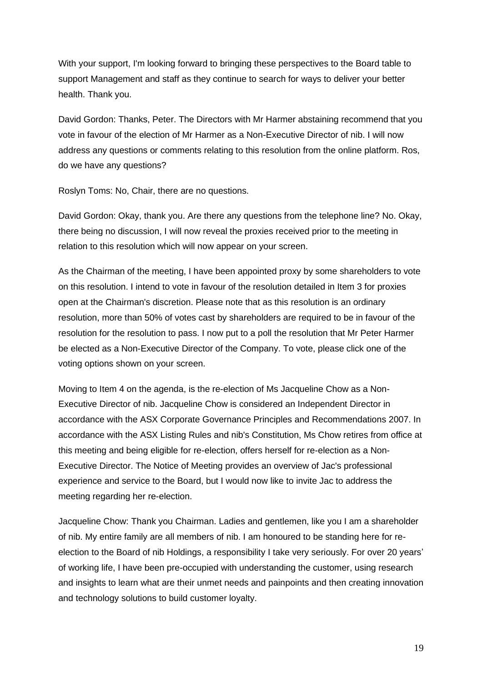With your support, I'm looking forward to bringing these perspectives to the Board table to support Management and staff as they continue to search for ways to deliver your better health. Thank you.

David Gordon: Thanks, Peter. The Directors with Mr Harmer abstaining recommend that you vote in favour of the election of Mr Harmer as a Non-Executive Director of nib. I will now address any questions or comments relating to this resolution from the online platform. Ros, do we have any questions?

Roslyn Toms: No, Chair, there are no questions.

David Gordon: Okay, thank you. Are there any questions from the telephone line? No. Okay, there being no discussion, I will now reveal the proxies received prior to the meeting in relation to this resolution which will now appear on your screen.

As the Chairman of the meeting, I have been appointed proxy by some shareholders to vote on this resolution. I intend to vote in favour of the resolution detailed in Item 3 for proxies open at the Chairman's discretion. Please note that as this resolution is an ordinary resolution, more than 50% of votes cast by shareholders are required to be in favour of the resolution for the resolution to pass. I now put to a poll the resolution that Mr Peter Harmer be elected as a Non-Executive Director of the Company. To vote, please click one of the voting options shown on your screen.

Moving to Item 4 on the agenda, is the re-election of Ms Jacqueline Chow as a Non-Executive Director of nib. Jacqueline Chow is considered an Independent Director in accordance with the ASX Corporate Governance Principles and Recommendations 2007. In accordance with the ASX Listing Rules and nib's Constitution, Ms Chow retires from office at this meeting and being eligible for re-election, offers herself for re-election as a Non-Executive Director. The Notice of Meeting provides an overview of Jac's professional experience and service to the Board, but I would now like to invite Jac to address the meeting regarding her re-election.

Jacqueline Chow: Thank you Chairman. Ladies and gentlemen, like you I am a shareholder of nib. My entire family are all members of nib. I am honoured to be standing here for reelection to the Board of nib Holdings, a responsibility I take very seriously. For over 20 years' of working life, I have been pre-occupied with understanding the customer, using research and insights to learn what are their unmet needs and painpoints and then creating innovation and technology solutions to build customer loyalty.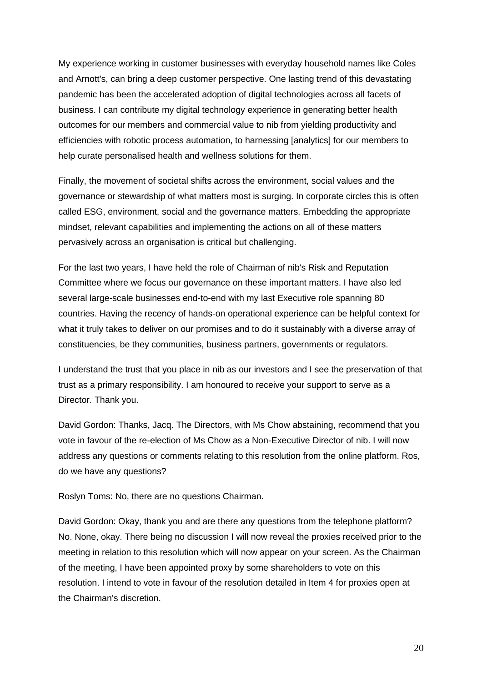My experience working in customer businesses with everyday household names like Coles and Arnott's, can bring a deep customer perspective. One lasting trend of this devastating pandemic has been the accelerated adoption of digital technologies across all facets of business. I can contribute my digital technology experience in generating better health outcomes for our members and commercial value to nib from yielding productivity and efficiencies with robotic process automation, to harnessing [analytics] for our members to help curate personalised health and wellness solutions for them.

Finally, the movement of societal shifts across the environment, social values and the governance or stewardship of what matters most is surging. In corporate circles this is often called ESG, environment, social and the governance matters. Embedding the appropriate mindset, relevant capabilities and implementing the actions on all of these matters pervasively across an organisation is critical but challenging.

For the last two years, I have held the role of Chairman of nib's Risk and Reputation Committee where we focus our governance on these important matters. I have also led several large-scale businesses end-to-end with my last Executive role spanning 80 countries. Having the recency of hands-on operational experience can be helpful context for what it truly takes to deliver on our promises and to do it sustainably with a diverse array of constituencies, be they communities, business partners, governments or regulators.

I understand the trust that you place in nib as our investors and I see the preservation of that trust as a primary responsibility. I am honoured to receive your support to serve as a Director. Thank you.

David Gordon: Thanks, Jacq. The Directors, with Ms Chow abstaining, recommend that you vote in favour of the re-election of Ms Chow as a Non-Executive Director of nib. I will now address any questions or comments relating to this resolution from the online platform. Ros, do we have any questions?

Roslyn Toms: No, there are no questions Chairman.

David Gordon: Okay, thank you and are there any questions from the telephone platform? No. None, okay. There being no discussion I will now reveal the proxies received prior to the meeting in relation to this resolution which will now appear on your screen. As the Chairman of the meeting, I have been appointed proxy by some shareholders to vote on this resolution. I intend to vote in favour of the resolution detailed in Item 4 for proxies open at the Chairman's discretion.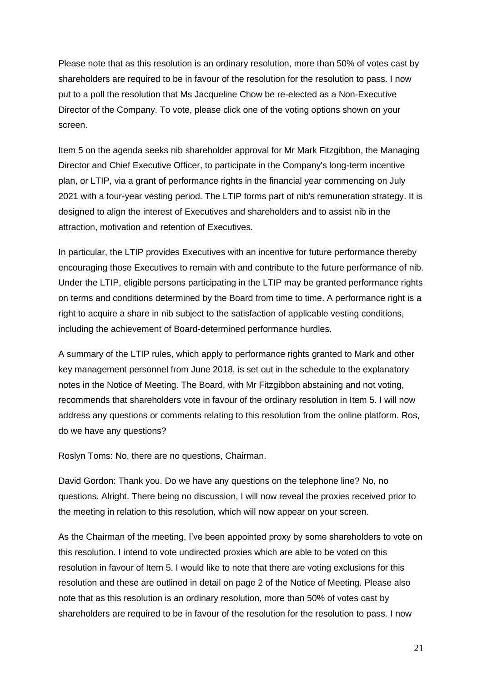Please note that as this resolution is an ordinary resolution, more than 50% of votes cast by shareholders are required to be in favour of the resolution for the resolution to pass. I now put to a poll the resolution that Ms Jacqueline Chow be re-elected as a Non-Executive Director of the Company. To vote, please click one of the voting options shown on your screen.

Item 5 on the agenda seeks nib shareholder approval for Mr Mark Fitzgibbon, the Managing Director and Chief Executive Officer, to participate in the Company's long-term incentive plan, or LTIP, via a grant of performance rights in the financial year commencing on July 2021 with a four-year vesting period. The LTIP forms part of nib's remuneration strategy. It is designed to align the interest of Executives and shareholders and to assist nib in the attraction, motivation and retention of Executives.

In particular, the LTIP provides Executives with an incentive for future performance thereby encouraging those Executives to remain with and contribute to the future performance of nib. Under the LTIP, eligible persons participating in the LTIP may be granted performance rights on terms and conditions determined by the Board from time to time. A performance right is a right to acquire a share in nib subject to the satisfaction of applicable vesting conditions, including the achievement of Board-determined performance hurdles.

A summary of the LTIP rules, which apply to performance rights granted to Mark and other key management personnel from June 2018, is set out in the schedule to the explanatory notes in the Notice of Meeting. The Board, with Mr Fitzgibbon abstaining and not voting, recommends that shareholders vote in favour of the ordinary resolution in Item 5. I will now address any questions or comments relating to this resolution from the online platform. Ros, do we have any questions?

Roslyn Toms: No, there are no questions, Chairman.

David Gordon: Thank you. Do we have any questions on the telephone line? No, no questions. Alright. There being no discussion, I will now reveal the proxies received prior to the meeting in relation to this resolution, which will now appear on your screen.

As the Chairman of the meeting, I've been appointed proxy by some shareholders to vote on this resolution. I intend to vote undirected proxies which are able to be voted on this resolution in favour of Item 5. I would like to note that there are voting exclusions for this resolution and these are outlined in detail on page 2 of the Notice of Meeting. Please also note that as this resolution is an ordinary resolution, more than 50% of votes cast by shareholders are required to be in favour of the resolution for the resolution to pass. I now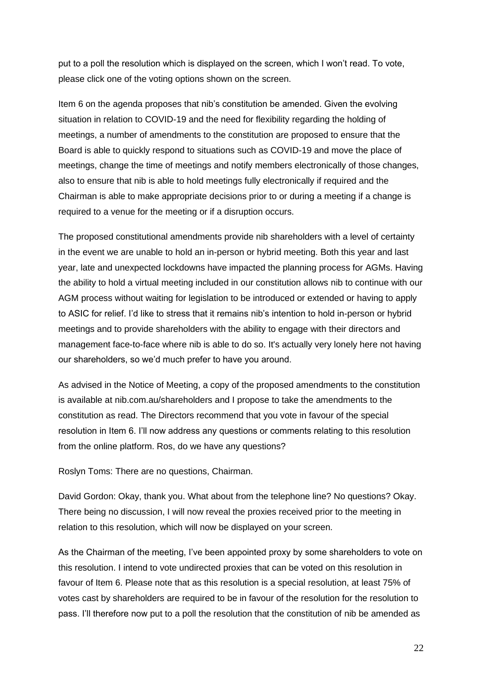put to a poll the resolution which is displayed on the screen, which I won't read. To vote, please click one of the voting options shown on the screen.

Item 6 on the agenda proposes that nib's constitution be amended. Given the evolving situation in relation to COVID-19 and the need for flexibility regarding the holding of meetings, a number of amendments to the constitution are proposed to ensure that the Board is able to quickly respond to situations such as COVID-19 and move the place of meetings, change the time of meetings and notify members electronically of those changes, also to ensure that nib is able to hold meetings fully electronically if required and the Chairman is able to make appropriate decisions prior to or during a meeting if a change is required to a venue for the meeting or if a disruption occurs.

The proposed constitutional amendments provide nib shareholders with a level of certainty in the event we are unable to hold an in-person or hybrid meeting. Both this year and last year, late and unexpected lockdowns have impacted the planning process for AGMs. Having the ability to hold a virtual meeting included in our constitution allows nib to continue with our AGM process without waiting for legislation to be introduced or extended or having to apply to ASIC for relief. I'd like to stress that it remains nib's intention to hold in-person or hybrid meetings and to provide shareholders with the ability to engage with their directors and management face-to-face where nib is able to do so. It's actually very lonely here not having our shareholders, so we'd much prefer to have you around.

As advised in the Notice of Meeting, a copy of the proposed amendments to the constitution is available at nib.com.au/shareholders and I propose to take the amendments to the constitution as read. The Directors recommend that you vote in favour of the special resolution in Item 6. I'll now address any questions or comments relating to this resolution from the online platform. Ros, do we have any questions?

Roslyn Toms: There are no questions, Chairman.

David Gordon: Okay, thank you. What about from the telephone line? No questions? Okay. There being no discussion, I will now reveal the proxies received prior to the meeting in relation to this resolution, which will now be displayed on your screen.

As the Chairman of the meeting, I've been appointed proxy by some shareholders to vote on this resolution. I intend to vote undirected proxies that can be voted on this resolution in favour of Item 6. Please note that as this resolution is a special resolution, at least 75% of votes cast by shareholders are required to be in favour of the resolution for the resolution to pass. I'll therefore now put to a poll the resolution that the constitution of nib be amended as